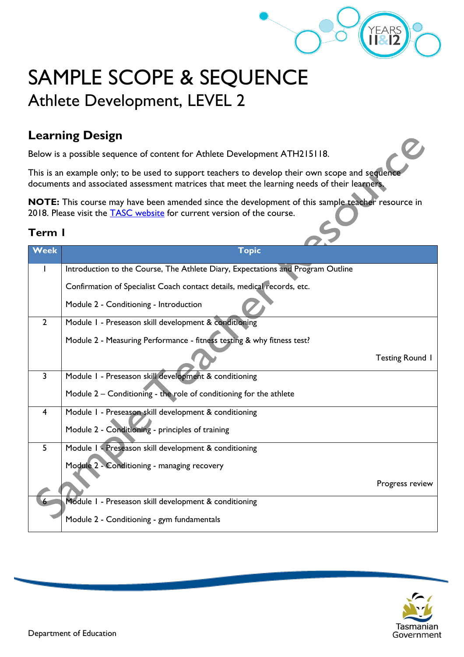

# SAMPLE SCOPE & SEQUENCE Athlete Development, LEVEL 2

## **Learning Design**

Below is a possible sequence of content for Athlete Development ATH215118.

This is an example only; to be used to support teachers to develop their own scope and sequence documents and associated assessment matrices that meet the learning needs of their learners.

**NOTE:** This course may have been amended since the development of this sample teacher resource in 2018. Please visit the **TASC** website for current version of the course.

| Week           | <b>Topic</b>                                                                    |                        |
|----------------|---------------------------------------------------------------------------------|------------------------|
|                | Introduction to the Course, The Athlete Diary, Expectations and Program Outline |                        |
|                | Confirmation of Specialist Coach contact details, medical records, etc.         |                        |
|                | Module 2 - Conditioning - Introduction                                          |                        |
| $\overline{2}$ | Module I - Preseason skill development & conditioning                           |                        |
|                | Module 2 - Measuring Performance - fitness testing & why fitness test?          |                        |
|                |                                                                                 | <b>Testing Round 1</b> |
| 3              | Module 1 - Preseason skill development & conditioning                           |                        |
|                | Module 2 - Conditioning - the role of conditioning for the athlete              |                        |
| $\overline{4}$ | Module 1 - Preseason skill development & conditioning                           |                        |
|                | Module 2 - Conditioning - principles of training                                |                        |
| 5              | Module 1 - Preseason skill development & conditioning                           |                        |
|                | Module 2 - Conditioning - managing recovery                                     |                        |
|                |                                                                                 | Progress review        |
|                | Module I - Preseason skill development & conditioning                           |                        |
|                | Module 2 - Conditioning - gym fundamentals                                      |                        |

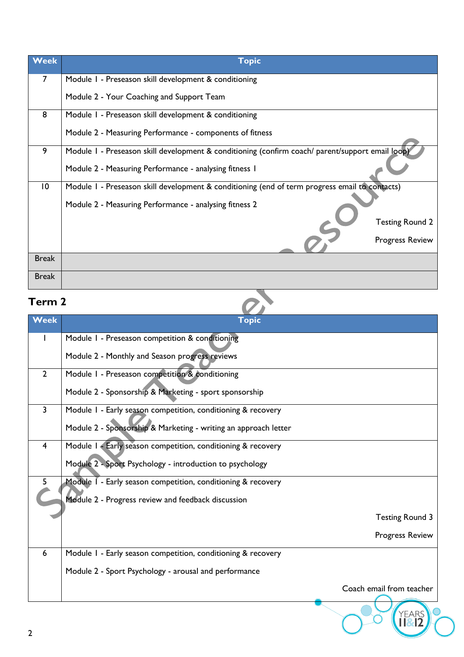| <b>Week</b>     | <b>Topic</b>                                                                                     |                        |
|-----------------|--------------------------------------------------------------------------------------------------|------------------------|
| 7               | Module 1 - Preseason skill development & conditioning                                            |                        |
|                 | Module 2 - Your Coaching and Support Team                                                        |                        |
| 8               | Module 1 - Preseason skill development & conditioning                                            |                        |
|                 | Module 2 - Measuring Performance - components of fitness                                         |                        |
| 9               | Module I - Preseason skill development & conditioning (confirm coach/ parent/support email loop) |                        |
|                 | Module 2 - Measuring Performance - analysing fitness 1                                           |                        |
| $\overline{10}$ | Module 1 - Preseason skill development & conditioning (end of term progress email to contacts)   |                        |
|                 | Module 2 - Measuring Performance - analysing fitness 2                                           |                        |
|                 |                                                                                                  | <b>Testing Round 2</b> |
|                 |                                                                                                  | <b>Progress Review</b> |
| <b>Break</b>    |                                                                                                  |                        |
| <b>Break</b>    |                                                                                                  |                        |

| Term 2          |                                                                 |                          |
|-----------------|-----------------------------------------------------------------|--------------------------|
| Week            | <b>Topic</b>                                                    |                          |
| $\mathbf{I}$    | Module I - Preseason competition & conditioning                 |                          |
|                 | Module 2 - Monthly and Season progress reviews                  |                          |
| $\overline{2}$  | Module I - Preseason competition & conditioning                 |                          |
|                 | Module 2 - Sponsorship & Marketing - sport sponsorship          |                          |
| $\overline{3}$  | Module I - Early season competition, conditioning & recovery    |                          |
|                 | Module 2 - Sponsorship & Marketing - writing an approach letter |                          |
| $\overline{4}$  | Module 1 - Early season competition, conditioning & recovery    |                          |
|                 | Module 2 - Sport Psychology - introduction to psychology        |                          |
| 5               | Module I - Early season competition, conditioning & recovery    |                          |
|                 | Module 2 - Progress review and feedback discussion              |                          |
|                 |                                                                 | <b>Testing Round 3</b>   |
|                 |                                                                 | Progress Review          |
| $6\phantom{1}6$ | Module I - Early season competition, conditioning & recovery    |                          |
|                 | Module 2 - Sport Psychology - arousal and performance           |                          |
|                 |                                                                 | Coach email from teacher |
|                 |                                                                 |                          |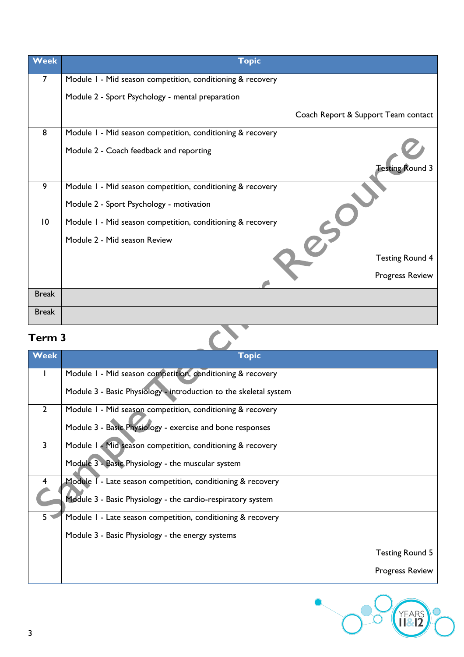| <b>Week</b>     | <b>Topic</b>                                               |
|-----------------|------------------------------------------------------------|
| $\overline{7}$  | Module 1 - Mid season competition, conditioning & recovery |
|                 | Module 2 - Sport Psychology - mental preparation           |
|                 | Coach Report & Support Team contact                        |
| 8               | Module I - Mid season competition, conditioning & recovery |
|                 | Module 2 - Coach feedback and reporting                    |
|                 | <b>Testing Round 3</b>                                     |
| 9               | Module 1 - Mid season competition, conditioning & recovery |
|                 | Module 2 - Sport Psychology - motivation                   |
| $\overline{10}$ | Module I - Mid season competition, conditioning & recovery |
|                 | Module 2 - Mid season Review                               |
|                 | <b>Testing Round 4</b>                                     |
|                 | <b>Progress Review</b>                                     |
| <b>Break</b>    |                                                            |
| <b>Break</b>    |                                                            |

| <b>Term 3</b>           |                                                                   |                        |
|-------------------------|-------------------------------------------------------------------|------------------------|
| <b>Week</b>             | <b>Topic</b>                                                      |                        |
| L                       | Module I - Mid season competition, conditioning & recovery        |                        |
|                         | Module 3 - Basic Physiology - introduction to the skeletal system |                        |
| $\overline{2}$          | Module 1 - Mid season competition, conditioning & recovery        |                        |
|                         | Module 3 - Basic Physiology - exercise and bone responses         |                        |
| 3                       | Module I - Mid season competition, conditioning & recovery        |                        |
|                         | Module 3 - Basic Physiology - the muscular system                 |                        |
| $\overline{\mathbf{4}}$ | Module I - Late season competition, conditioning & recovery       |                        |
|                         | Module 3 - Basic Physiology - the cardio-respiratory system       |                        |
| 5 <sup>1</sup>          | Module I - Late season competition, conditioning & recovery       |                        |
|                         | Module 3 - Basic Physiology - the energy systems                  |                        |
|                         |                                                                   | <b>Testing Round 5</b> |
|                         |                                                                   | <b>Progress Review</b> |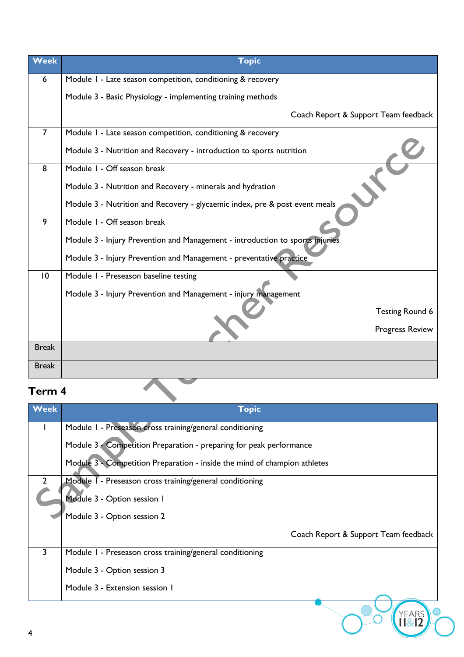| Module I - Late season competition, conditioning & recovery<br>Module 3 - Basic Physiology - implementing training methods<br>Coach Report & Support Team feedback<br>Module I - Late season competition, conditioning & recovery<br>Module 3 - Nutrition and Recovery - introduction to sports nutrition<br>Module 1 - Off season break<br>Module 3 - Nutrition and Recovery - minerals and hydration<br>Module 3 - Nutrition and Recovery - glycaemic index, pre & post event meals |
|---------------------------------------------------------------------------------------------------------------------------------------------------------------------------------------------------------------------------------------------------------------------------------------------------------------------------------------------------------------------------------------------------------------------------------------------------------------------------------------|
|                                                                                                                                                                                                                                                                                                                                                                                                                                                                                       |
|                                                                                                                                                                                                                                                                                                                                                                                                                                                                                       |
|                                                                                                                                                                                                                                                                                                                                                                                                                                                                                       |
|                                                                                                                                                                                                                                                                                                                                                                                                                                                                                       |
|                                                                                                                                                                                                                                                                                                                                                                                                                                                                                       |
|                                                                                                                                                                                                                                                                                                                                                                                                                                                                                       |
|                                                                                                                                                                                                                                                                                                                                                                                                                                                                                       |
|                                                                                                                                                                                                                                                                                                                                                                                                                                                                                       |
| Module I - Off season break                                                                                                                                                                                                                                                                                                                                                                                                                                                           |
| Module 3 - Injury Prevention and Management - introduction to sports injuries                                                                                                                                                                                                                                                                                                                                                                                                         |
| Module 3 - Injury Prevention and Management - preventative practice                                                                                                                                                                                                                                                                                                                                                                                                                   |
| Module I - Preseason baseline testing                                                                                                                                                                                                                                                                                                                                                                                                                                                 |
| Module 3 - Injury Prevention and Management - injury management                                                                                                                                                                                                                                                                                                                                                                                                                       |
| <b>Testing Round 6</b>                                                                                                                                                                                                                                                                                                                                                                                                                                                                |
| <b>Progress Review</b>                                                                                                                                                                                                                                                                                                                                                                                                                                                                |
|                                                                                                                                                                                                                                                                                                                                                                                                                                                                                       |
|                                                                                                                                                                                                                                                                                                                                                                                                                                                                                       |
|                                                                                                                                                                                                                                                                                                                                                                                                                                                                                       |

| <b>Week</b>    | <b>Topic</b>                                                              |
|----------------|---------------------------------------------------------------------------|
|                | Module I - Preseason cross training/general conditioning                  |
|                | Module 3 - Competition Preparation - preparing for peak performance       |
|                | Module 3 - Competition Preparation - inside the mind of champion athletes |
| $\overline{2}$ | Module T - Preseason cross training/general conditioning                  |
|                | Module 3 - Option session 1                                               |
|                | Module 3 - Option session 2                                               |
|                | Coach Report & Support Team feedback                                      |
| 3              | Module I - Preseason cross training/general conditioning                  |
|                | Module 3 - Option session 3                                               |
|                | Module 3 - Extension session 1                                            |
| 4              |                                                                           |